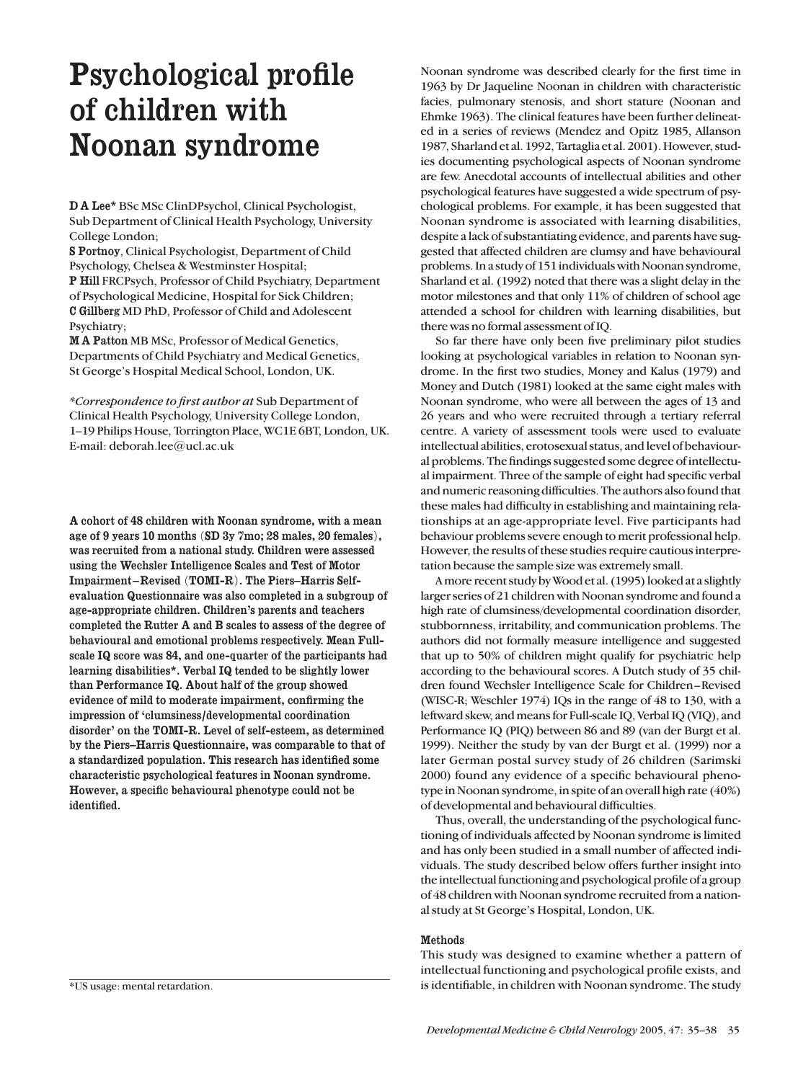# Psychological profile of children with Noonan syndrome

DA Lee\* BSc MSc ClinDPsychol, Clinical Psychologist, Sub Department of Clinical Health Psychology, University College London;

S Portnoy, Clinical Psychologist, Department of Child Psychology, Chelsea & Westminster Hospital; P Hill FRCPsych, Professor of Child Psychiatry, Department of Psychological Medicine, Hospital for Sick Children; C Gillberg MD PhD, Professor of Child and Adolescent Psychiatry;

MA Patton MB MSc, Professor of Medical Genetics, Departments of Child Psychiatry and Medical Genetics, St George's Hospital Medical School, London, UK.

*\*Correspondence to first author at* Sub Department of Clinical Health Psychology, University College London, 1–19 Philips House, Torrington Place, WC1E 6BT, London, UK. E-mail: deborah.lee@ucl.ac.uk

A cohort of 48 children with Noonan syndrome, with a mean age of 9 years 10 months (SD 3y 7mo; 28 males, 20 females), was recruited from a national study. Children were assessed using the Wechsler Intelligence Scales and Test of Motor Impairment–Revised (TOMI-R). The Piers–Harris Selfevaluation Questionnaire was also completed in a subgroup of age-appropriate children. Children's parents and teachers completed the Rutter A and B scales to assess of the degree of behavioural and emotional problems respectively. Mean Fullscale IQ score was 84, and one-quarter of the participants had learning disabilities\*. Verbal IQ tended to be slightly lower than Performance IQ. About half of the group showed evidence of mild to moderate impairment, confirming the impression of 'clumsiness/developmental coordination disorder' on the TOMI-R. Level of self-esteem, as determined by the Piers–Harris Questionnaire, was comparable to that of a standardized population. This research has identified some characteristic psychological features in Noonan syndrome. However, a specific behavioural phenotype could not be identified.

\*US usage: mental retardation.

Noonan syndrome was described clearly for the first time in 1963 by Dr Jaqueline Noonan in children with characteristic facies, pulmonary stenosis, and short stature (Noonan and Ehmke 1963). The clinical features have been further delineated in a series of reviews (Mendez and Opitz 1985, Allanson 1987, Sharland et al. 1992, Tartaglia et al. 2001). However, studies documenting psychological aspects of Noonan syndrome are few. Anecdotal accounts of intellectual abilities and other psychological features have suggested a wide spectrum of psychological problems. For example, it has been suggested that Noonan syndrome is associated with learning disabilities, despite a lack of substantiating evidence, and parents have suggested that affected children are clumsy and have behavioural problems. In a study of 151 individuals with Noonan syndrome, Sharland et al. (1992) noted that there was a slight delay in the motor milestones and that only 11% of children of school age attended a school for children with learning disabilities, but there was no formal assessment of IQ.

So far there have only been five preliminary pilot studies looking at psychological variables in relation to Noonan syndrome. In the first two studies, Money and Kalus (1979) and Money and Dutch (1981) looked at the same eight males with Noonan syndrome, who were all between the ages of 13 and 26 years and who were recruited through a tertiary referral centre. A variety of assessment tools were used to evaluate intellectual abilities, erotosexual status, and level of behavioural problems. The findings suggested some degree of intellectual impairment. Three of the sample of eight had specific verbal and numeric reasoning difficulties. The authors also found that these males had difficulty in establishing and maintaining relationships at an age-appropriate level. Five participants had behaviour problems severe enough to merit professional help. However, the results of these studies require cautious interpretation because the sample size was extremely small.

A more recent study by Wood et al. (1995) looked at a slightly larger series of 21 children with Noonan syndrome and found a high rate of clumsiness/developmental coordination disorder, stubbornness, irritability, and communication problems. The authors did not formally measure intelligence and suggested that up to 50% of children might qualify for psychiatric help according to the behavioural scores. A Dutch study of 35 children found Wechsler Intelligence Scale for Children–Revised (WISC-R; Weschler 1974) IQs in the range of 48 to 130, with a leftward skew, and means for Full-scale IQ, Verbal IQ (VIQ), and Performance IQ (PIQ) between 86 and 89 (van der Burgt et al. 1999). Neither the study by van der Burgt et al. (1999) nor a later German postal survey study of 26 children (Sarimski 2000) found any evidence of a specific behavioural phenotype in Noonan syndrome, in spite of an overall high rate (40%) of developmental and behavioural difficulties.

Thus, overall, the understanding of the psychological functioning of individuals affected by Noonan syndrome is limited and has only been studied in a small number of affected individuals. The study described below offers further insight into the intellectual functioning and psychological profile of a group of 48 children with Noonan syndrome recruited from a national study at St George's Hospital, London, UK.

## Methods

This study was designed to examine whether a pattern of intellectual functioning and psychological profile exists, and is identifiable, in children with Noonan syndrome. The study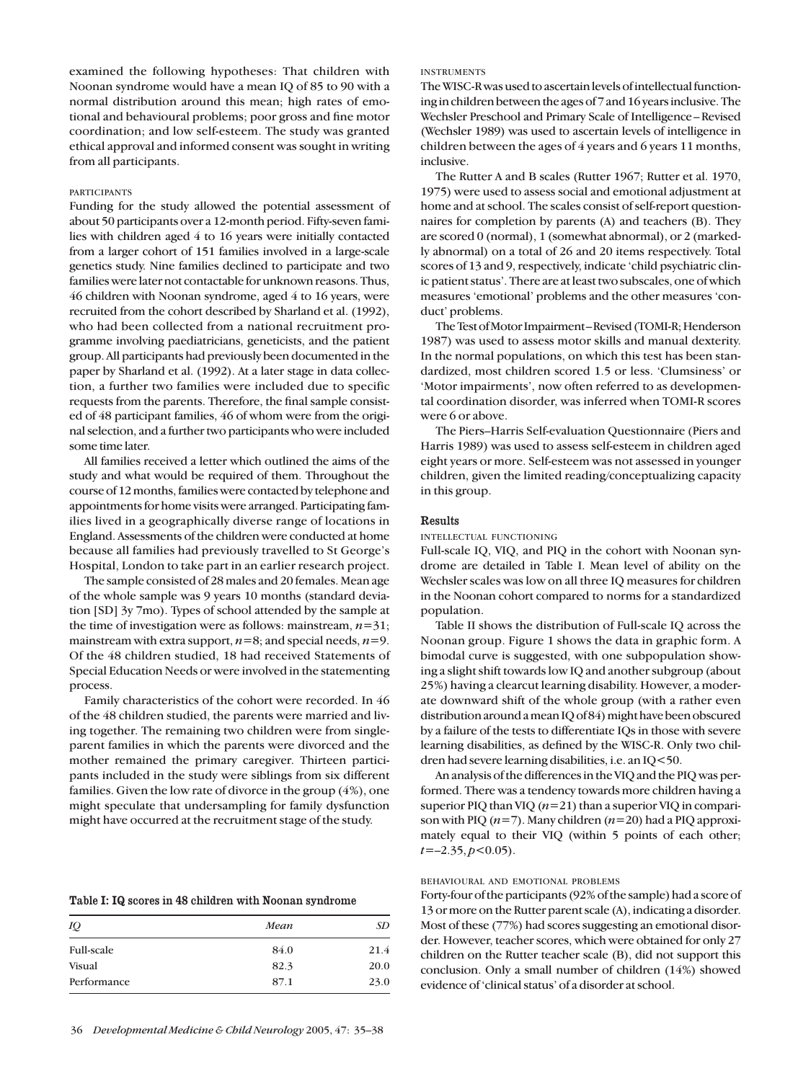examined the following hypotheses: That children with Noonan syndrome would have a mean IQ of 85 to 90 with a normal distribution around this mean; high rates of emotional and behavioural problems; poor gross and fine motor coordination; and low self-esteem. The study was granted ethical approval and informed consent was sought in writing from all participants.

# PARTICIPANTS

Funding for the study allowed the potential assessment of about 50 participants over a 12-month period. Fifty-seven families with children aged 4 to 16 years were initially contacted from a larger cohort of 151 families involved in a large-scale genetics study. Nine families declined to participate and two families were later not contactable for unknown reasons. Thus, 46 children with Noonan syndrome, aged 4 to 16 years, were recruited from the cohort described by Sharland et al. (1992), who had been collected from a national recruitment programme involving paediatricians, geneticists, and the patient group. All participants had previously been documented in the paper by Sharland et al. (1992). At a later stage in data collection, a further two families were included due to specific requests from the parents. Therefore, the final sample consisted of 48 participant families, 46 of whom were from the original selection, and a further two participants who were included some time later.

All families received a letter which outlined the aims of the study and what would be required of them. Throughout the course of 12 months, families were contacted by telephone and appointments for home visits were arranged. Participating families lived in a geographically diverse range of locations in England. Assessments of the children were conducted at home because all families had previously travelled to St George's Hospital, London to take part in an earlier research project.

The sample consisted of 28 males and 20 females. Mean age of the whole sample was 9 years 10 months (standard deviation [SD] 3y 7mo). Types of school attended by the sample at the time of investigation were as follows: mainstream,  $n=31$ ; mainstream with extra support, *n*=8; and special needs, *n*=9. Of the 48 children studied, 18 had received Statements of Special Education Needs or were involved in the statementing process.

Family characteristics of the cohort were recorded. In 46 of the 48 children studied, the parents were married and living together. The remaining two children were from singleparent families in which the parents were divorced and the mother remained the primary caregiver. Thirteen participants included in the study were siblings from six different families. Given the low rate of divorce in the group (4%), one might speculate that undersampling for family dysfunction might have occurred at the recruitment stage of the study.

| Table I: IQ scores in 48 children with Noonan syndrome |  |  |
|--------------------------------------------------------|--|--|
|--------------------------------------------------------|--|--|

| IQ                | Mean | SD   |  |
|-------------------|------|------|--|
| <b>Full-scale</b> | 84.0 | 21.4 |  |
| Visual            | 82.3 | 20.0 |  |
| Performance       | 87.1 | 23.0 |  |

#### INSTRUMENTS

The WISC-R was used to ascertain levels of intellectual functioning in children between the ages of 7 and 16 years inclusive. The Wechsler Preschool and Primary Scale of Intelligence–Revised (Wechsler 1989) was used to ascertain levels of intelligence in children between the ages of 4 years and 6 years 11 months, inclusive.

The Rutter A and B scales (Rutter 1967; Rutter et al. 1970, 1975) were used to assess social and emotional adjustment at home and at school. The scales consist of self-report questionnaires for completion by parents (A) and teachers (B). They are scored 0 (normal), 1 (somewhat abnormal), or 2 (markedly abnormal) on a total of 26 and 20 items respectively. Total scores of 13 and 9, respectively, indicate 'child psychiatric clinic patient status'. There are at least two subscales, one of which measures 'emotional' problems and the other measures 'conduct' problems.

The Test of Motor Impairment–Revised (TOMI-R; Henderson 1987) was used to assess motor skills and manual dexterity. In the normal populations, on which this test has been standardized, most children scored 1.5 or less. 'Clumsiness' or 'Motor impairments', now often referred to as developmental coordination disorder, was inferred when TOMI-R scores were 6 or above.

The Piers–Harris Self-evaluation Questionnaire (Piers and Harris 1989) was used to assess self-esteem in children aged eight years or more. Self-esteem was not assessed in younger children, given the limited reading/conceptualizing capacity in this group.

# Results

## INTELLECTUAL FUNCTIONING

Full-scale IQ, VIQ, and PIQ in the cohort with Noonan syndrome are detailed in Table I. Mean level of ability on the Wechsler scales was low on all three IQ measures for children in the Noonan cohort compared to norms for a standardized population.

Table II shows the distribution of Full-scale IQ across the Noonan group. Figure 1 shows the data in graphic form. A bimodal curve is suggested, with one subpopulation showing a slight shift towards low IQ and another subgroup (about 25%) having a clearcut learning disability. However, a moderate downward shift of the whole group (with a rather even distribution around a mean IQ of 84) might have been obscured by a failure of the tests to differentiate IQs in those with severe learning disabilities, as defined by the WISC-R. Only two children had severe learning disabilities, i.e. an IQ<50.

An analysis of the differences in the VIQ and the PIQ was performed. There was a tendency towards more children having a superior PIQ than VIQ (*n*=21) than a superior VIQ in comparison with PIQ (*n*=7). Many children (*n*=20) had a PIQ approximately equal to their VIQ (within 5 points of each other; *t*=–2.35, *p*<0.05).

# BEHAVIOURAL AND EMOTIONAL PROBLEMS

Forty-four of the participants (92% of the sample) had a score of 13 or more on the Rutter parent scale (A), indicating a disorder. Most of these (77%) had scores suggesting an emotional disorder. However, teacher scores, which were obtained for only 27 children on the Rutter teacher scale (B), did not support this conclusion. Only a small number of children (14%) showed evidence of 'clinical status' of a disorder at school.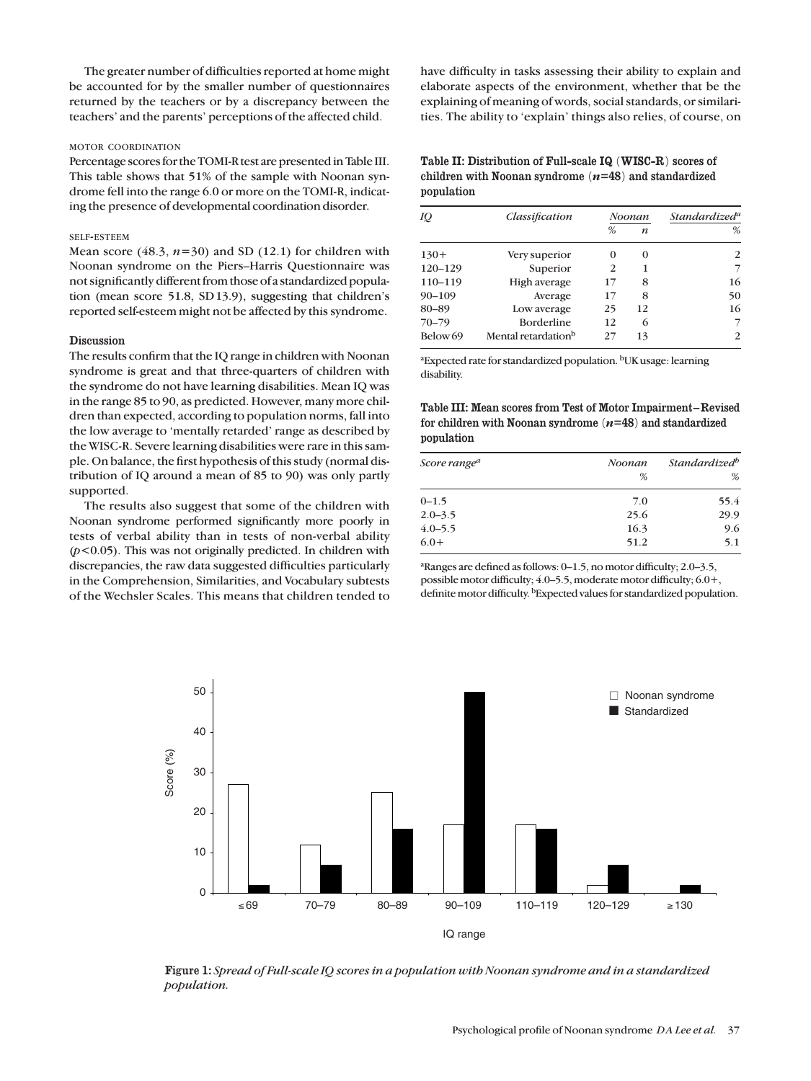The greater number of difficulties reported at home might be accounted for by the smaller number of questionnaires returned by the teachers or by a discrepancy between the teachers' and the parents' perceptions of the affected child.

### MOTOR COORDINATION

Percentage scores for the TOMI-R test are presented in Table III. This table shows that 51% of the sample with Noonan syndrome fell into the range 6.0 or more on the TOMI-R, indicating the presence of developmental coordination disorder.

## SELF-ESTEEM

Mean score  $(48.3, n=30)$  and SD  $(12.1)$  for children with Noonan syndrome on the Piers–Harris Questionnaire was not significantly different from those of a standardized population (mean score 51.8, SD13.9), suggesting that children's reported self-esteem might not be affected by this syndrome.

#### **Discussion**

The results confirm that the IQ range in children with Noonan syndrome is great and that three-quarters of children with the syndrome do not have learning disabilities. Mean IQ was in the range 85 to 90, as predicted. However, many more children than expected, according to population norms, fall into the low average to 'mentally retarded' range as described by the WISC-R. Severe learning disabilities were rare in this sample. On balance, the first hypothesis of this study (normal distribution of IQ around a mean of 85 to 90) was only partly supported.

The results also suggest that some of the children with Noonan syndrome performed significantly more poorly in tests of verbal ability than in tests of non-verbal ability (*p*<0.05). This was not originally predicted. In children with discrepancies, the raw data suggested difficulties particularly in the Comprehension, Similarities, and Vocabulary subtests of the Wechsler Scales. This means that children tended to have difficulty in tasks assessing their ability to explain and elaborate aspects of the environment, whether that be the explaining of meaning of words, social standards, or similarities. The ability to 'explain' things also relies, of course, on

Table II: Distribution of Full-scale IQ (WISC-R) scores of children with Noonan syndrome (*n*=48) and standardized population

| IQ                  | Classification                  | Noonan   |                  | Standardized <sup>a</sup> |
|---------------------|---------------------------------|----------|------------------|---------------------------|
|                     |                                 | %        | $\boldsymbol{n}$ | %                         |
| $130+$              | Very superior                   | $\Omega$ | $\Omega$         | 2                         |
| $120 - 129$         | Superior                        | 2        | 1                | 7                         |
| 110-119             | High average                    | 17       | 8                | 16                        |
| $90 - 109$          | Average                         | 17       | 8                | 50                        |
| 80-89               | Low average                     | 25       | 12               | 16                        |
| $70 - 79$           | <b>Borderline</b>               | 12       | 6                | 7                         |
| Below <sub>69</sub> | Mental retardation <sup>b</sup> | 27       | 13               | 2                         |

<sup>a</sup> Expected rate for standardized population. <sup>b</sup>UK usage: learning disability.

Table III: Mean scores from Test of Motor Impairment–Revised for children with Noonan syndrome (*n*=48) and standardized population

| Score range <sup>a</sup> | Noonan | Standardized <sup>b</sup> |  |
|--------------------------|--------|---------------------------|--|
|                          | %      | %                         |  |
| $0 - 1.5$                | 7.0    | 55.4                      |  |
| $2.0 - 3.5$              | 25.6   | 29.9                      |  |
| $4.0 - 5.5$              | 16.3   | 9.6                       |  |
| $6.0+$                   | 51.2   | 5.1                       |  |

a Ranges are defined as follows: 0–1.5, no motor difficulty; 2.0–3.5, possible motor difficulty; 4.0–5.5, moderate motor difficulty; 6.0+, definite motor difficulty. bExpected values for standardized population.



Figure 1: *Spread of Full-scale IQ scores in a population with Noonan syndrome and in a standardized population.*